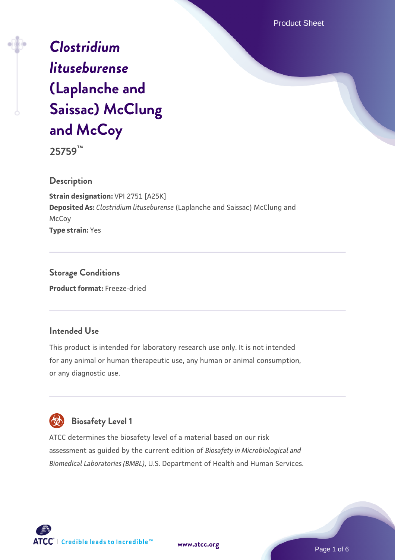Product Sheet

# *[Clostridium](https://www.atcc.org/products/25759) [lituseburense](https://www.atcc.org/products/25759)* **[\(Laplanche and](https://www.atcc.org/products/25759) [Saissac\) McClung](https://www.atcc.org/products/25759) [and McCoy](https://www.atcc.org/products/25759)**

**25759™**

#### **Description**

**Strain designation:** VPI 2751 [A25K] **Deposited As:** *Clostridium lituseburense* (Laplanche and Saissac) McClung and **McCoy Type strain:** Yes

**Storage Conditions Product format:** Freeze-dried

### **Intended Use**

This product is intended for laboratory research use only. It is not intended for any animal or human therapeutic use, any human or animal consumption, or any diagnostic use.



## **Biosafety Level 1**

ATCC determines the biosafety level of a material based on our risk assessment as guided by the current edition of *Biosafety in Microbiological and Biomedical Laboratories (BMBL)*, U.S. Department of Health and Human Services.





Page 1 of 6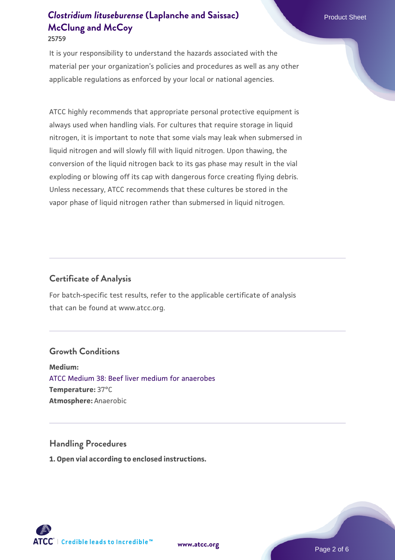**25759**

It is your responsibility to understand the hazards associated with the material per your organization's policies and procedures as well as any other applicable regulations as enforced by your local or national agencies.

ATCC highly recommends that appropriate personal protective equipment is always used when handling vials. For cultures that require storage in liquid nitrogen, it is important to note that some vials may leak when submersed in liquid nitrogen and will slowly fill with liquid nitrogen. Upon thawing, the conversion of the liquid nitrogen back to its gas phase may result in the vial exploding or blowing off its cap with dangerous force creating flying debris. Unless necessary, ATCC recommends that these cultures be stored in the vapor phase of liquid nitrogen rather than submersed in liquid nitrogen.

### **Certificate of Analysis**

For batch-specific test results, refer to the applicable certificate of analysis that can be found at www.atcc.org.

### **Growth Conditions**

**Medium:**  [ATCC Medium 38: Beef liver medium for anaerobes](https://www.atcc.org/-/media/product-assets/documents/microbial-media-formulations/3/8/atcc-medium-38.pdf?rev=c7d1277465c443b09580966be115e306) **Temperature:** 37°C **Atmosphere:** Anaerobic

#### **Handling Procedures**

**1. Open vial according to enclosed instructions.**

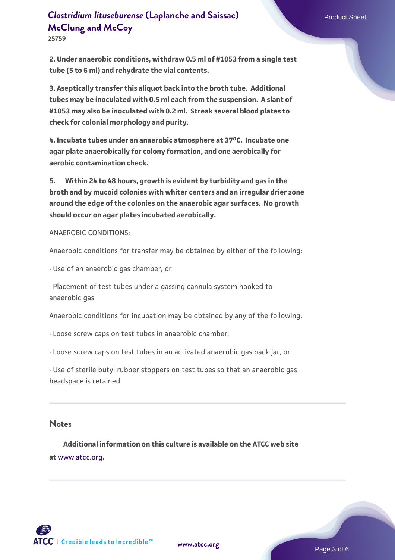**25759**

**2. Under anaerobic conditions, withdraw 0.5 ml of #1053 from a single test tube (5 to 6 ml) and rehydrate the vial contents.**

**3. Aseptically transfer this aliquot back into the broth tube. Additional tubes may be inoculated with 0.5 ml each from the suspension. A slant of #1053 may also be inoculated with 0.2 ml. Streak several blood plates to check for colonial morphology and purity.**

**4. Incubate tubes under an anaerobic atmosphere at 37oC. Incubate one agar plate anaerobically for colony formation, and one aerobically for aerobic contamination check.**

**5. Within 24 to 48 hours, growth is evident by turbidity and gas in the broth and by mucoid colonies with whiter centers and an irregular drier zone around the edge of the colonies on the anaerobic agar surfaces. No growth should occur on agar plates incubated aerobically.** 

ANAEROBIC CONDITIONS:

Anaerobic conditions for transfer may be obtained by either of the following:

· Use of an anaerobic gas chamber, or

· Placement of test tubes under a gassing cannula system hooked to anaerobic gas.

Anaerobic conditions for incubation may be obtained by any of the following:

· Loose screw caps on test tubes in anaerobic chamber,

· Loose screw caps on test tubes in an activated anaerobic gas pack jar, or

· Use of sterile butyl rubber stoppers on test tubes so that an anaerobic gas headspace is retained.

#### **Notes**

 **Additional information on this culture is available on the ATCC web site at** [www.atcc.org](http://www.atcc.org/)**.**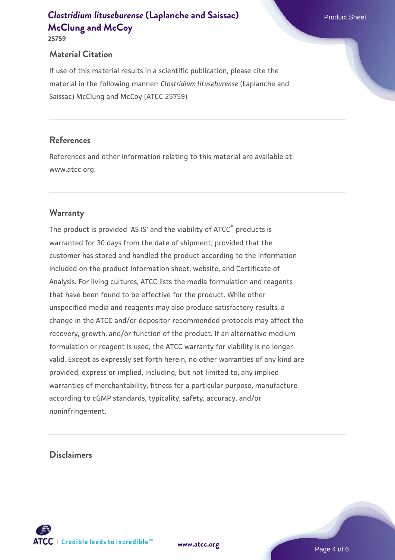**25759**

### **Material Citation**

If use of this material results in a scientific publication, please cite the material in the following manner: *Clostridium lituseburense* (Laplanche and Saissac) McClung and McCoy (ATCC 25759)

### **References**

References and other information relating to this material are available at www.atcc.org.

### **Warranty**

The product is provided 'AS IS' and the viability of ATCC® products is warranted for 30 days from the date of shipment, provided that the customer has stored and handled the product according to the information included on the product information sheet, website, and Certificate of Analysis. For living cultures, ATCC lists the media formulation and reagents that have been found to be effective for the product. While other unspecified media and reagents may also produce satisfactory results, a change in the ATCC and/or depositor-recommended protocols may affect the recovery, growth, and/or function of the product. If an alternative medium formulation or reagent is used, the ATCC warranty for viability is no longer valid. Except as expressly set forth herein, no other warranties of any kind are provided, express or implied, including, but not limited to, any implied warranties of merchantability, fitness for a particular purpose, manufacture according to cGMP standards, typicality, safety, accuracy, and/or noninfringement.

#### **Disclaimers**

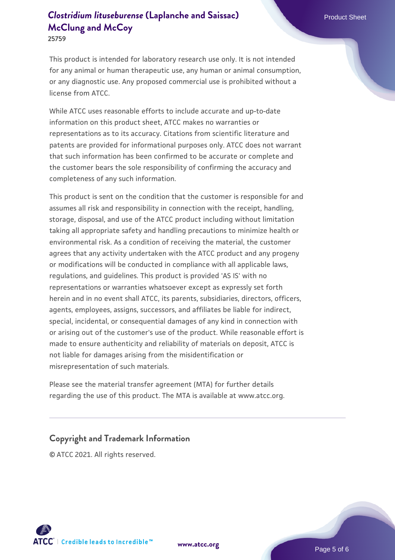**25759**

This product is intended for laboratory research use only. It is not intended for any animal or human therapeutic use, any human or animal consumption, or any diagnostic use. Any proposed commercial use is prohibited without a license from ATCC.

While ATCC uses reasonable efforts to include accurate and up-to-date information on this product sheet, ATCC makes no warranties or representations as to its accuracy. Citations from scientific literature and patents are provided for informational purposes only. ATCC does not warrant that such information has been confirmed to be accurate or complete and the customer bears the sole responsibility of confirming the accuracy and completeness of any such information.

This product is sent on the condition that the customer is responsible for and assumes all risk and responsibility in connection with the receipt, handling, storage, disposal, and use of the ATCC product including without limitation taking all appropriate safety and handling precautions to minimize health or environmental risk. As a condition of receiving the material, the customer agrees that any activity undertaken with the ATCC product and any progeny or modifications will be conducted in compliance with all applicable laws, regulations, and guidelines. This product is provided 'AS IS' with no representations or warranties whatsoever except as expressly set forth herein and in no event shall ATCC, its parents, subsidiaries, directors, officers, agents, employees, assigns, successors, and affiliates be liable for indirect, special, incidental, or consequential damages of any kind in connection with or arising out of the customer's use of the product. While reasonable effort is made to ensure authenticity and reliability of materials on deposit, ATCC is not liable for damages arising from the misidentification or misrepresentation of such materials.

Please see the material transfer agreement (MTA) for further details regarding the use of this product. The MTA is available at www.atcc.org.

#### **Copyright and Trademark Information**

© ATCC 2021. All rights reserved.